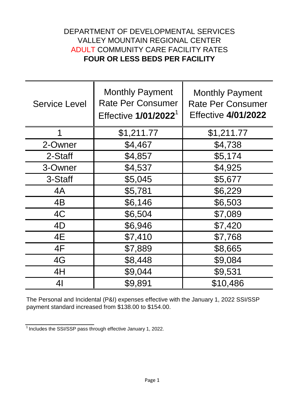## **FOUR OR LESS BEDS PER FACILITY** ADULT COMMUNITY CARE FACILITY RATES DEPARTMENT OF DEVELOPMENTAL SERVICES VALLEY MOUNTAIN REGIONAL CENTER

| <b>Service Level</b> | <b>Monthly Payment</b><br><b>Rate Per Consumer</b><br>Effective 1/01/2022 <sup>1</sup> | <b>Monthly Payment</b><br><b>Rate Per Consumer</b><br><b>Effective 4/01/2022</b> |
|----------------------|----------------------------------------------------------------------------------------|----------------------------------------------------------------------------------|
|                      | \$1,211.77                                                                             | \$1,211.77                                                                       |
| 2-Owner              | \$4,467                                                                                | \$4,738                                                                          |
| 2-Staff              | \$4,857                                                                                | \$5,174                                                                          |
| 3-Owner              | \$4,537                                                                                | \$4,925                                                                          |
| 3-Staff              | \$5,045                                                                                | \$5,677                                                                          |
| 4A                   | \$5,781                                                                                | \$6,229                                                                          |
| 4B                   | \$6,146                                                                                | \$6,503                                                                          |
| 4C                   | \$6,504                                                                                | \$7,089                                                                          |
| 4D                   | \$6,946                                                                                | \$7,420                                                                          |
| 4E                   | \$7,410                                                                                | \$7,768                                                                          |
| 4F                   | \$7,889                                                                                | \$8,665                                                                          |
| 4G                   | \$8,448                                                                                | \$9,084                                                                          |
| 4H                   | \$9,044                                                                                | \$9,531                                                                          |
| 4 <sub>l</sub>       | \$9,891                                                                                | \$10,486                                                                         |

The Personal and Incidental (P&I) expenses effective with the January 1, 2022 SSI/SSP payment standard increased from \$138.00 to \$154.00.

 $1$ Includes the SSI/SSP pass through effective January 1, 2022.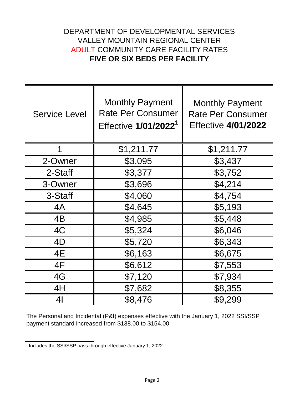## DEPARTMENT OF DEVELOPMENTAL SERVICES **FIVE OR SIX BEDS PER FACILITY** ADULT COMMUNITY CARE FACILITY RATES VALLEY MOUNTAIN REGIONAL CENTER

| <b>Service Level</b> | <b>Monthly Payment</b><br><b>Rate Per Consumer</b><br>Effective 1/01/2022 <sup>1</sup> | <b>Monthly Payment</b><br><b>Rate Per Consumer</b><br><b>Effective 4/01/2022</b> |
|----------------------|----------------------------------------------------------------------------------------|----------------------------------------------------------------------------------|
| 1                    | \$1,211.77                                                                             | \$1,211.77                                                                       |
| 2-Owner              | \$3,095                                                                                | \$3,437                                                                          |
| 2-Staff              | \$3,377                                                                                | \$3,752                                                                          |
| 3-Owner              | \$3,696                                                                                | \$4,214                                                                          |
| 3-Staff              | \$4,060                                                                                | \$4,754                                                                          |
| 4A                   | \$4,645                                                                                | \$5,193                                                                          |
| 4B                   | \$4,985                                                                                | \$5,448                                                                          |
| 4C                   | \$5,324                                                                                | \$6,046                                                                          |
| 4D                   | \$5,720                                                                                | \$6,343                                                                          |
| 4E                   | \$6,163                                                                                | \$6,675                                                                          |
| 4F                   | \$6,612                                                                                | \$7,553                                                                          |
| 4G                   | \$7,120                                                                                | \$7,934                                                                          |
| 4H                   | \$7,682                                                                                | \$8,355                                                                          |
| 41                   | \$8,476                                                                                | \$9,299                                                                          |

The Personal and Incidental (P&I) expenses effective with the January 1, 2022 SSI/SSP payment standard increased from \$138.00 to \$154.00.

 $\frac{1}{1}$  Includes the SSI/SSP pass through effective January 1, 2022.